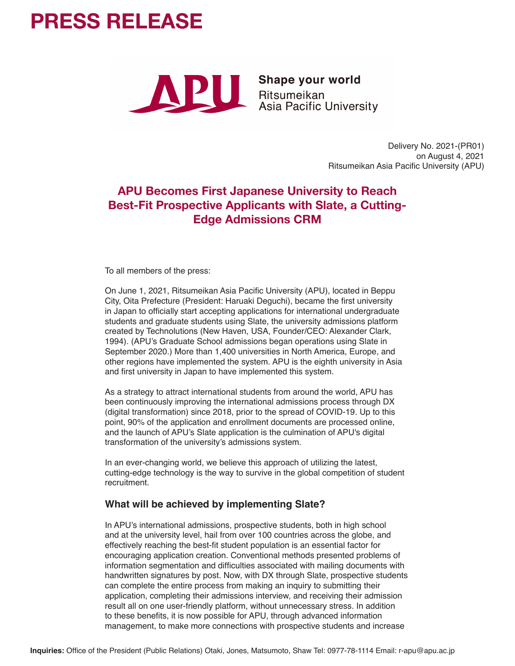# **PRESS RELEASE**



Delivery No. 2021-(PR01) on August 4, 2021 Ritsumeikan Asia Pacific University (APU)

# **APU Becomes First Japanese University to Reach Best-Fit Prospective Applicants with Slate, a Cutting-Edge Admissions CRM**

To all members of the press:

On June 1, 2021, Ritsumeikan Asia Pacific University (APU), located in Beppu City, Oita Prefecture (President: Haruaki Deguchi), became the first university in Japan to officially start accepting applications for international undergraduate students and graduate students using Slate, the university admissions platform created by Technolutions (New Haven, USA, Founder/CEO: Alexander Clark, 1994). (APU's Graduate School admissions began operations using Slate in September 2020.) More than 1,400 universities in North America, Europe, and other regions have implemented the system. APU is the eighth university in Asia and first university in Japan to have implemented this system.

As a strategy to attract international students from around the world, APU has been continuously improving the international admissions process through DX (digital transformation) since 2018, prior to the spread of COVID-19. Up to this point, 90% of the application and enrollment documents are processed online, and the launch of APU's Slate application is the culmination of APU's digital transformation of the university's admissions system.

In an ever-changing world, we believe this approach of utilizing the latest, cutting-edge technology is the way to survive in the global competition of student recruitment.

#### **What will be achieved by implementing Slate?**

In APU's international admissions, prospective students, both in high school and at the university level, hail from over 100 countries across the globe, and effectively reaching the best-fit student population is an essential factor for encouraging application creation. Conventional methods presented problems of information segmentation and difficulties associated with mailing documents with handwritten signatures by post. Now, with DX through Slate, prospective students can complete the entire process from making an inquiry to submitting their application, completing their admissions interview, and receiving their admission result all on one user-friendly platform, without unnecessary stress. In addition to these benefits, it is now possible for APU, through advanced information management, to make more connections with prospective students and increase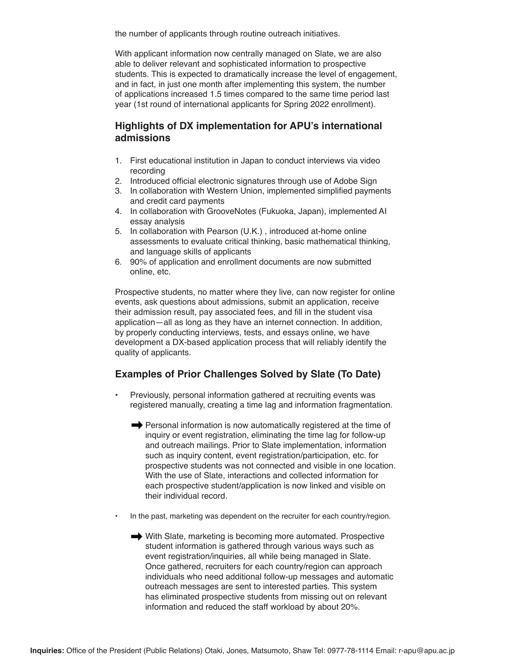the number of applicants through routine outreach initiatives.

With applicant information now centrally managed on Slate, we are also able to deliver relevant and sophisticated information to prospective students. This is expected to dramatically increase the level of engagement, and in fact, in just one month after implementing this system, the number of applications increased 1.5 times compared to the same time period last year (1st round of international applicants for Spring 2022 enrollment).

#### **Highlights of DX implementation for APU's international admissions**

- 1. First educational institution in Japan to conduct interviews via video recording
- 2. Introduced official electronic signatures through use of Adobe Sign
- 3. In collaboration with Western Union, implemented simplified payments and credit card payments
- 4. In collaboration with GrooveNotes (Fukuoka, Japan), implemented AI essay analysis
- 5. In collaboration with Pearson (U.K.) , introduced at-home online assessments to evaluate critical thinking, basic mathematical thinking, and language skills of applicants
- 6. 90% of application and enrollment documents are now submitted online, etc.

Prospective students, no matter where they live, can now register for online events, ask questions about admissions, submit an application, receive their admission result, pay associated fees, and fill in the student visa application—all as long as they have an internet connection. In addition, by properly conducting interviews, tests, and essays online, we have development a DX-based application process that will reliably identify the quality of applicants.

### **Examples of Prior Challenges Solved by Slate (To Date)**

- Previously, personal information gathered at recruiting events was registered manually, creating a time lag and information fragmentation.
	- Personal information is now automatically registered at the time of inquiry or event registration, eliminating the time lag for follow-up and outreach mailings. Prior to Slate implementation, information such as inquiry content, event registration/participation, etc. for prospective students was not connected and visible in one location. With the use of Slate, interactions and collected information for each prospective student/application is now linked and visible on their individual record.
- In the past, marketing was dependent on the recruiter for each country/region.
	- With Slate, marketing is becoming more automated. Prospective student information is gathered through various ways such as event registration/inquiries, all while being managed in Slate. Once gathered, recruiters for each country/region can approach individuals who need additional follow-up messages and automatic outreach messages are sent to interested parties. This system has eliminated prospective students from missing out on relevant information and reduced the staff workload by about 20%.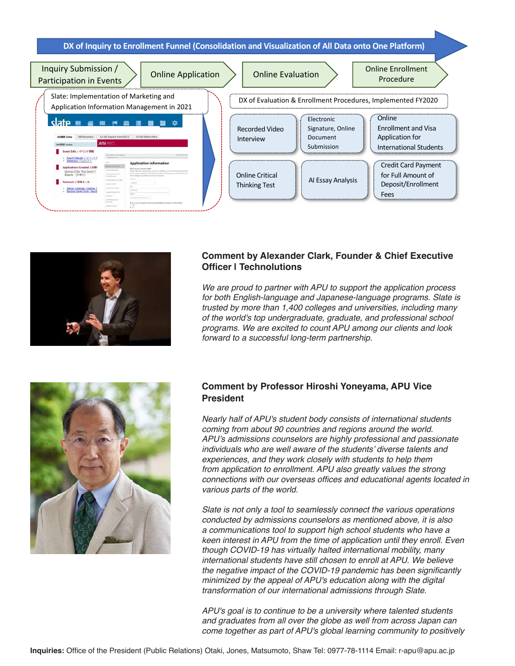**DX of Inquiry to Enrollment Funnel (Consolidation and Visualization of All Data onto One Platform)**





#### **Comment by Alexander Clark, Founder & Chief Executive Officer | Technolutions**

*We are proud to partner with APU to support the application process for both English-language and Japanese-language programs. Slate is trusted by more than 1,400 colleges and universities, including many of the world's top undergraduate, graduate, and professional school programs. We are excited to count APU among our clients and look forward to a successful long-term partnership.*



#### **Comment by Professor Hiroshi Yoneyama, APU Vice President**

*Nearly half of APU's student body consists of international students coming from about 90 countries and regions around the world.*  APU's admissions counselors are highly professional and passionate individuals who are well aware of the students' diverse talents and *experiences, and they work closely with students to help them from application to enrollment. APU also greatly values the strong*  connections with our overseas offices and educational agents located in *various parts of the world.*

*Slate is not only a tool to seamlessly connect the various operations conducted by admissions counselors as mentioned above, it is also a communications tool to support high school students who have a keen interest in APU from the time of application until they enroll. Even though COVID-19 has virtually halted international mobility, many international students have still chosen to enroll at APU. We believe*  the negative impact of the COVID-19 pandemic has been significantly *minimized by the appeal of APU's education along with the digital transformation of our international admissions through Slate.*

*APU's goal is to continue to be a university where talented students and graduates from all over the globe as well from across Japan can come together as part of APU's global learning community to positively*